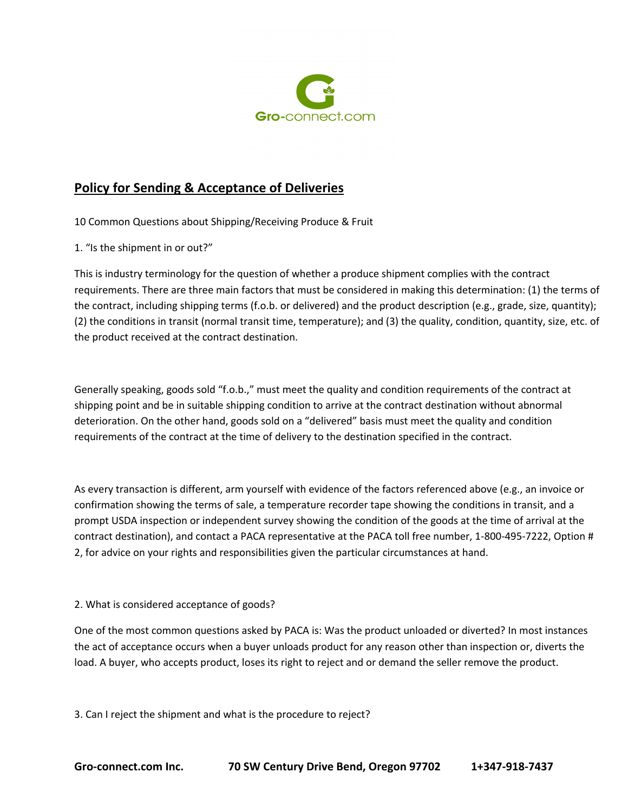

10 Common Questions about Shipping/Receiving Produce & Fruit

1. "Is the shipment in or out?"

This is industry terminology for the question of whether a produce shipment complies with the contract requirements. There are three main factors that must be considered in making this determination: (1) the terms of the contract, including shipping terms (f.o.b. or delivered) and the product description (e.g., grade, size, quantity); (2) the conditions in transit (normal transit time, temperature); and (3) the quality, condition, quantity, size, etc. of the product received at the contract destination.

Generally speaking, goods sold "f.o.b.," must meet the quality and condition requirements of the contract at shipping point and be in suitable shipping condition to arrive at the contract destination without abnormal deterioration. On the other hand, goods sold on a "delivered" basis must meet the quality and condition requirements of the contract at the time of delivery to the destination specified in the contract.

As every transaction is different, arm yourself with evidence of the factors referenced above (e.g., an invoice or confirmation showing the terms of sale, a temperature recorder tape showing the conditions in transit, and a prompt USDA inspection or independent survey showing the condition of the goods at the time of arrival at the contract destination), and contact a PACA representative at the PACA toll free number, 1-800-495-7222, Option # 2, for advice on your rights and responsibilities given the particular circumstances at hand.

2. What is considered acceptance of goods?

One of the most common questions asked by PACA is: Was the product unloaded or diverted? In most instances the act of acceptance occurs when a buyer unloads product for any reason other than inspection or, diverts the load. A buyer, who accepts product, loses its right to reject and or demand the seller remove the product.

3. Can I reject the shipment and what is the procedure to reject?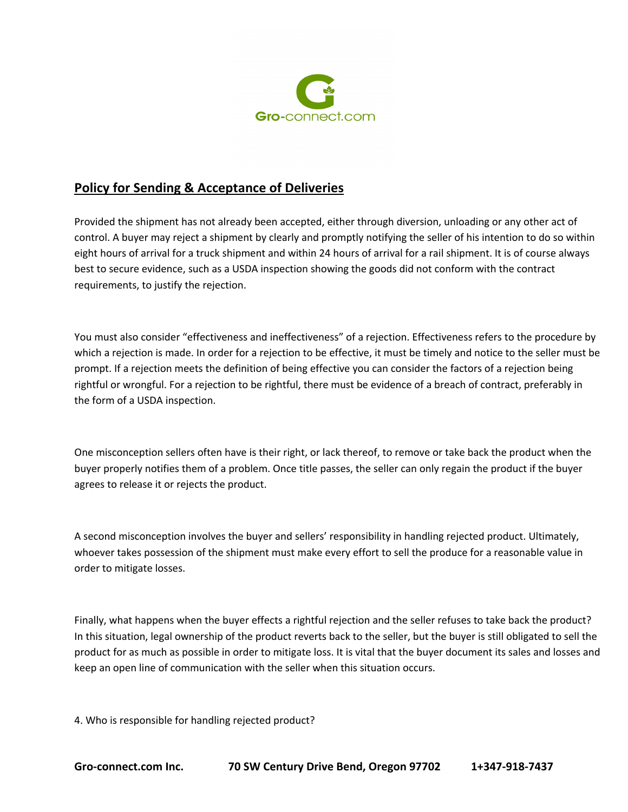

Provided the shipment has not already been accepted, either through diversion, unloading or any other act of control. A buyer may reject a shipment by clearly and promptly notifying the seller of his intention to do so within eight hours of arrival for a truck shipment and within 24 hours of arrival for a rail shipment. It is of course always best to secure evidence, such as a USDA inspection showing the goods did not conform with the contract requirements, to justify the rejection.

You must also consider "effectiveness and ineffectiveness" of a rejection. Effectiveness refers to the procedure by which a rejection is made. In order for a rejection to be effective, it must be timely and notice to the seller must be prompt. If a rejection meets the definition of being effective you can consider the factors of a rejection being rightful or wrongful. For a rejection to be rightful, there must be evidence of a breach of contract, preferably in the form of a USDA inspection.

One misconception sellers often have is their right, or lack thereof, to remove or take back the product when the buyer properly notifies them of a problem. Once title passes, the seller can only regain the product if the buyer agrees to release it or rejects the product.

A second misconception involves the buyer and sellers' responsibility in handling rejected product. Ultimately, whoever takes possession of the shipment must make every effort to sell the produce for a reasonable value in order to mitigate losses.

Finally, what happens when the buyer effects a rightful rejection and the seller refuses to take back the product? In this situation, legal ownership of the product reverts back to the seller, but the buyer is still obligated to sell the product for as much as possible in order to mitigate loss. It is vital that the buyer document its sales and losses and keep an open line of communication with the seller when this situation occurs.

4. Who is responsible for handling rejected product?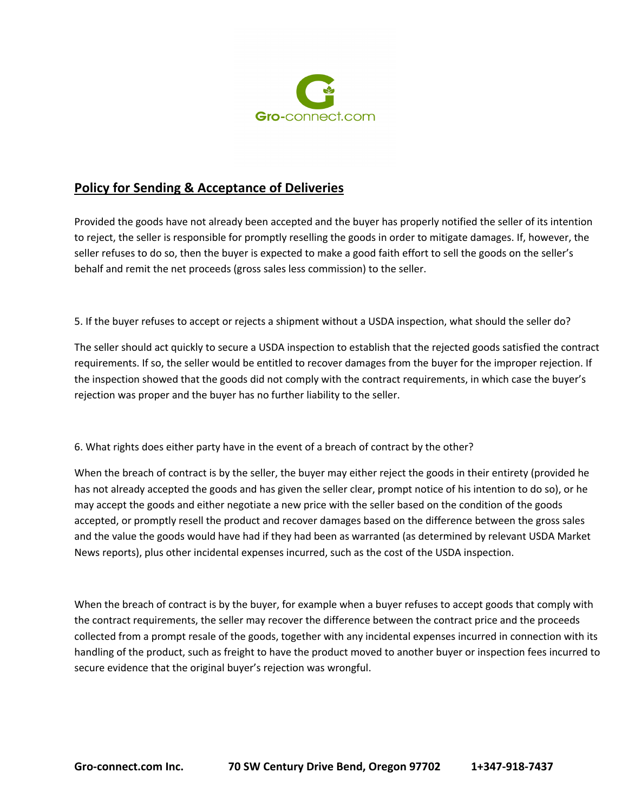

Provided the goods have not already been accepted and the buyer has properly notified the seller of its intention to reject, the seller is responsible for promptly reselling the goods in order to mitigate damages. If, however, the seller refuses to do so, then the buyer is expected to make a good faith effort to sell the goods on the seller's behalf and remit the net proceeds (gross sales less commission) to the seller.

5. If the buyer refuses to accept or rejects a shipment without a USDA inspection, what should the seller do?

The seller should act quickly to secure a USDA inspection to establish that the rejected goods satisfied the contract requirements. If so, the seller would be entitled to recover damages from the buyer for the improper rejection. If the inspection showed that the goods did not comply with the contract requirements, in which case the buyer's rejection was proper and the buyer has no further liability to the seller.

6. What rights does either party have in the event of a breach of contract by the other?

When the breach of contract is by the seller, the buyer may either reject the goods in their entirety (provided he has not already accepted the goods and has given the seller clear, prompt notice of his intention to do so), or he may accept the goods and either negotiate a new price with the seller based on the condition of the goods accepted, or promptly resell the product and recover damages based on the difference between the gross sales and the value the goods would have had if they had been as warranted (as determined by relevant USDA Market News reports), plus other incidental expenses incurred, such as the cost of the USDA inspection.

When the breach of contract is by the buyer, for example when a buyer refuses to accept goods that comply with the contract requirements, the seller may recover the difference between the contract price and the proceeds collected from a prompt resale of the goods, together with any incidental expenses incurred in connection with its handling of the product, such as freight to have the product moved to another buyer or inspection fees incurred to secure evidence that the original buyer's rejection was wrongful.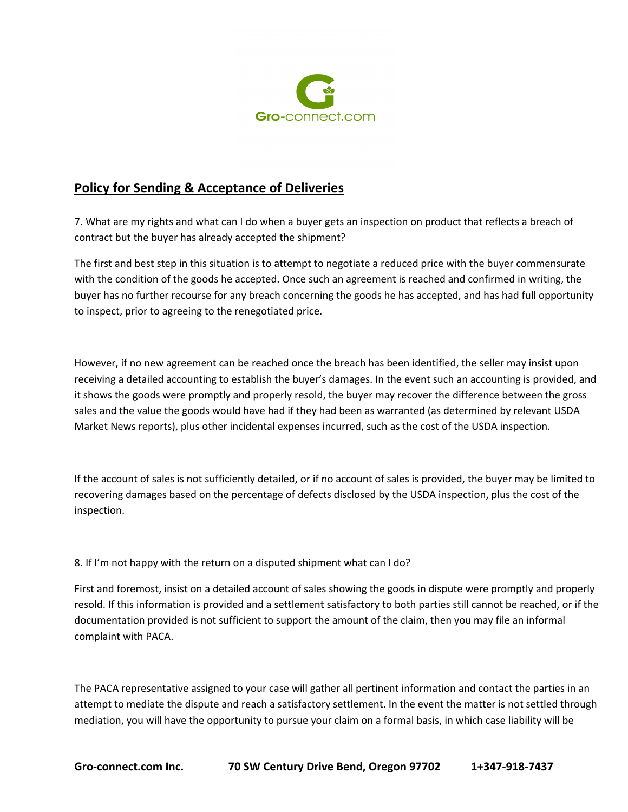

7. What are my rights and what can I do when a buyer gets an inspection on product that reflects a breach of contract but the buyer has already accepted the shipment?

The first and best step in this situation is to attempt to negotiate a reduced price with the buyer commensurate with the condition of the goods he accepted. Once such an agreement is reached and confirmed in writing, the buyer has no further recourse for any breach concerning the goods he has accepted, and has had full opportunity to inspect, prior to agreeing to the renegotiated price.

However, if no new agreement can be reached once the breach has been identified, the seller may insist upon receiving a detailed accounting to establish the buyer's damages. In the event such an accounting is provided, and it shows the goods were promptly and properly resold, the buyer may recover the difference between the gross sales and the value the goods would have had if they had been as warranted (as determined by relevant USDA Market News reports), plus other incidental expenses incurred, such as the cost of the USDA inspection.

If the account of sales is not sufficiently detailed, or if no account of sales is provided, the buyer may be limited to recovering damages based on the percentage of defects disclosed by the USDA inspection, plus the cost of the inspection.

### 8. If I'm not happy with the return on a disputed shipment what can I do?

First and foremost, insist on a detailed account of sales showing the goods in dispute were promptly and properly resold. If this information is provided and a settlement satisfactory to both parties still cannot be reached, or if the documentation provided is not sufficient to support the amount of the claim, then you may file an informal complaint with PACA.

The PACA representative assigned to your case will gather all pertinent information and contact the parties in an attempt to mediate the dispute and reach a satisfactory settlement. In the event the matter is not settled through mediation, you will have the opportunity to pursue your claim on a formal basis, in which case liability will be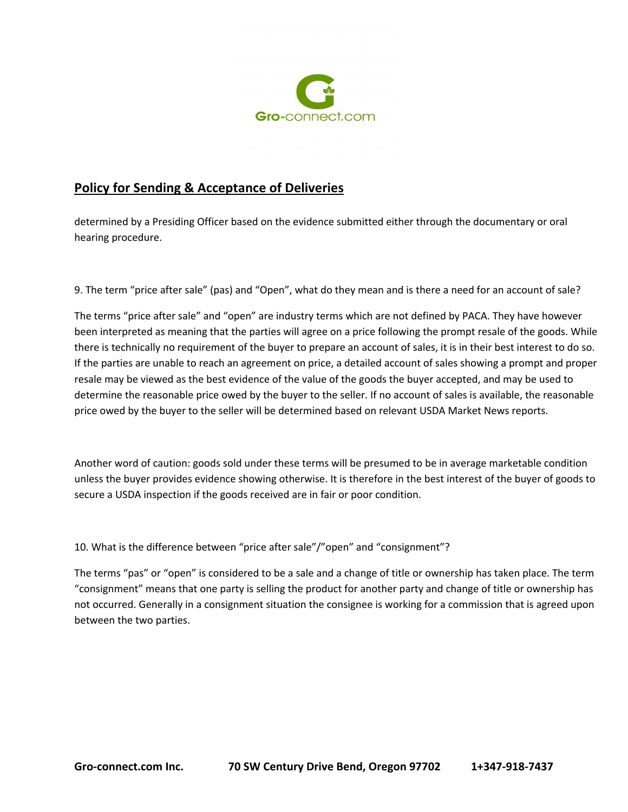

determined by a Presiding Officer based on the evidence submitted either through the documentary or oral hearing procedure.

9. The term "price after sale" (pas) and "Open", what do they mean and is there a need for an account of sale?

The terms "price after sale" and "open" are industry terms which are not defined by PACA. They have however been interpreted as meaning that the parties will agree on a price following the prompt resale of the goods. While there is technically no requirement of the buyer to prepare an account of sales, it is in their best interest to do so. If the parties are unable to reach an agreement on price, a detailed account of sales showing a prompt and proper resale may be viewed as the best evidence of the value of the goods the buyer accepted, and may be used to determine the reasonable price owed by the buyer to the seller. If no account of sales is available, the reasonable price owed by the buyer to the seller will be determined based on relevant USDA Market News reports.

Another word of caution: goods sold under these terms will be presumed to be in average marketable condition unless the buyer provides evidence showing otherwise. It is therefore in the best interest of the buyer of goods to secure a USDA inspection if the goods received are in fair or poor condition.

10. What is the difference between "price after sale"/"open" and "consignment"?

The terms "pas" or "open" is considered to be a sale and a change of title or ownership has taken place. The term "consignment" means that one party is selling the product for another party and change of title or ownership has not occurred. Generally in a consignment situation the consignee is working for a commission that is agreed upon between the two parties.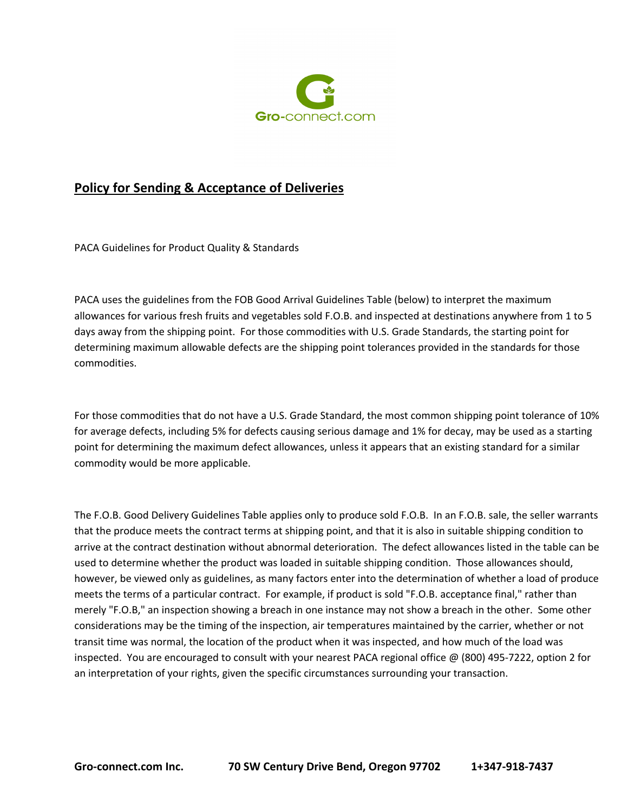

PACA Guidelines for Product Quality & Standards

PACA uses the guidelines from the FOB Good Arrival Guidelines Table (below) to interpret the maximum allowances for various fresh fruits and vegetables sold F.O.B. and inspected at destinations anywhere from 1 to 5 days away from the shipping point. For those commodities with U.S. Grade Standards, the starting point for determining maximum allowable defects are the shipping point tolerances provided in the standards for those commodities.

For those commodities that do not have a U.S. Grade Standard, the most common shipping point tolerance of 10% for average defects, including 5% for defects causing serious damage and 1% for decay, may be used as a starting point for determining the maximum defect allowances, unless it appears that an existing standard for a similar commodity would be more applicable.

The F.O.B. Good Delivery Guidelines Table applies only to produce sold F.O.B. In an F.O.B. sale, the seller warrants that the produce meets the contract terms at shipping point, and that it is also in suitable shipping condition to arrive at the contract destination without abnormal deterioration. The defect allowances listed in the table can be used to determine whether the product was loaded in suitable shipping condition. Those allowances should, however, be viewed only as guidelines, as many factors enter into the determination of whether a load of produce meets the terms of a particular contract. For example, if product is sold "F.O.B. acceptance final," rather than merely "F.O.B," an inspection showing a breach in one instance may not show a breach in the other. Some other considerations may be the timing of the inspection, air temperatures maintained by the carrier, whether or not transit time was normal, the location of the product when it was inspected, and how much of the load was inspected. You are encouraged to consult with your nearest PACA regional office @ (800) 495-7222, option 2 for an interpretation of your rights, given the specific circumstances surrounding your transaction.